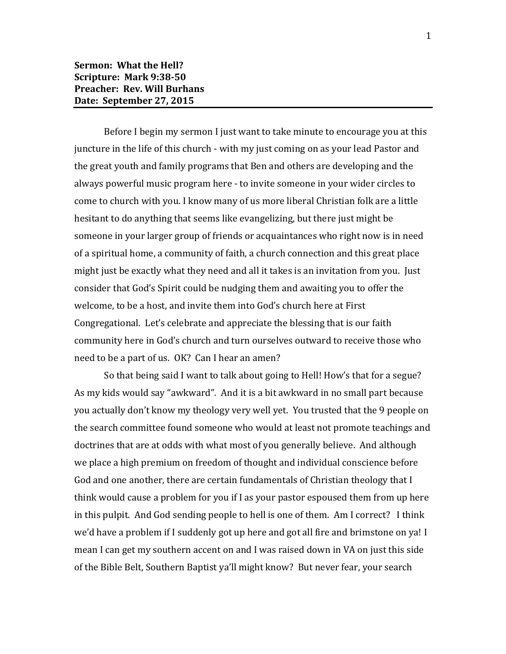Before I begin my sermon I just want to take minute to encourage you at this juncture in the life of this church - with my just coming on as your lead Pastor and the great youth and family programs that Ben and others are developing and the always powerful music program here - to invite someone in your wider circles to come to church with you. I know many of us more liberal Christian folk are a little hesitant to do anything that seems like evangelizing, but there just might be someone in your larger group of friends or acquaintances who right now is in need of a spiritual home, a community of faith, a church connection and this great place might just be exactly what they need and all it takes is an invitation from you. Just consider that God's Spirit could be nudging them and awaiting you to offer the welcome, to be a host, and invite them into God's church here at First Congregational. Let's celebrate and appreciate the blessing that is our faith community here in God's church and turn ourselves outward to receive those who need to be a part of us. OK? Can I hear an amen?

So that being said I want to talk about going to Hell! How's that for a segue? As my kids would say "awkward". And it is a bit awkward in no small part because you actually don't know my theology very well yet. You trusted that the 9 people on the search committee found someone who would at least not promote teachings and doctrines that are at odds with what most of you generally believe. And although we place a high premium on freedom of thought and individual conscience before God and one another, there are certain fundamentals of Christian theology that I think would cause a problem for you if I as your pastor espoused them from up here in this pulpit. And God sending people to hell is one of them. Am I correct? I think we'd have a problem if I suddenly got up here and got all fire and brimstone on ya! I mean I can get my southern accent on and I was raised down in VA on just this side of the Bible Belt, Southern Baptist ya'll might know? But never fear, your search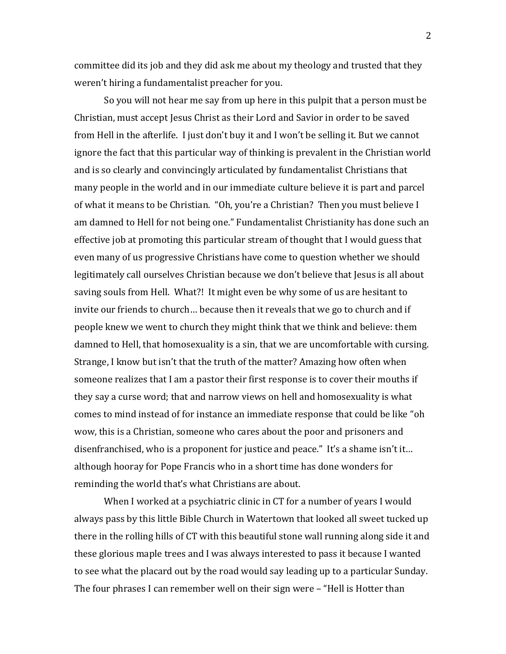committee did its job and they did ask me about my theology and trusted that they weren't hiring a fundamentalist preacher for you.

So you will not hear me say from up here in this pulpit that a person must be Christian, must accept Jesus Christ as their Lord and Savior in order to be saved from Hell in the afterlife. I just don't buy it and I won't be selling it. But we cannot ignore the fact that this particular way of thinking is prevalent in the Christian world and is so clearly and convincingly articulated by fundamentalist Christians that many people in the world and in our immediate culture believe it is part and parcel of what it means to be Christian. "Oh, you're a Christian? Then you must believe I am damned to Hell for not being one." Fundamentalist Christianity has done such an effective job at promoting this particular stream of thought that I would guess that even many of us progressive Christians have come to question whether we should legitimately call ourselves Christian because we don't believe that Jesus is all about saving souls from Hell. What?! It might even be why some of us are hesitant to invite our friends to church… because then it reveals that we go to church and if people knew we went to church they might think that we think and believe: them damned to Hell, that homosexuality is a sin, that we are uncomfortable with cursing. Strange, I know but isn't that the truth of the matter? Amazing how often when someone realizes that I am a pastor their first response is to cover their mouths if they say a curse word; that and narrow views on hell and homosexuality is what comes to mind instead of for instance an immediate response that could be like "oh wow, this is a Christian, someone who cares about the poor and prisoners and disenfranchised, who is a proponent for justice and peace." It's a shame isn't it… although hooray for Pope Francis who in a short time has done wonders for reminding the world that's what Christians are about.

When I worked at a psychiatric clinic in CT for a number of years I would always pass by this little Bible Church in Watertown that looked all sweet tucked up there in the rolling hills of CT with this beautiful stone wall running along side it and these glorious maple trees and I was always interested to pass it because I wanted to see what the placard out by the road would say leading up to a particular Sunday. The four phrases I can remember well on their sign were – "Hell is Hotter than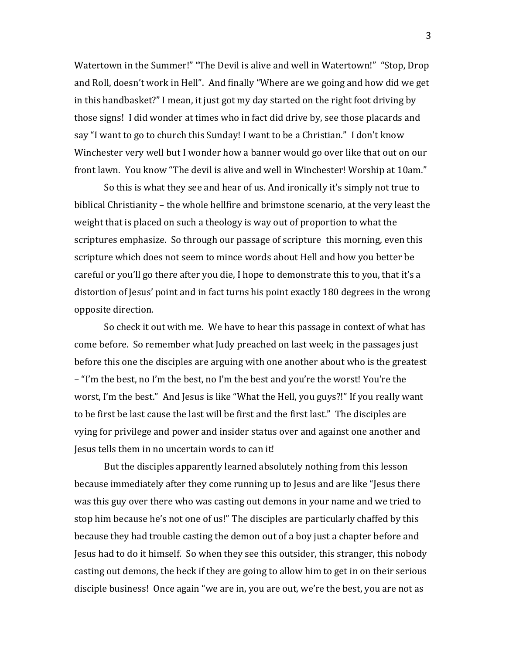Watertown in the Summer!" "The Devil is alive and well in Watertown!" "Stop, Drop and Roll, doesn't work in Hell". And finally "Where are we going and how did we get in this handbasket?" I mean, it just got my day started on the right foot driving by those signs! I did wonder at times who in fact did drive by, see those placards and say "I want to go to church this Sunday! I want to be a Christian." I don't know Winchester very well but I wonder how a banner would go over like that out on our front lawn. You know "The devil is alive and well in Winchester! Worship at 10am."

So this is what they see and hear of us. And ironically it's simply not true to biblical Christianity – the whole hellfire and brimstone scenario, at the very least the weight that is placed on such a theology is way out of proportion to what the scriptures emphasize. So through our passage of scripture this morning, even this scripture which does not seem to mince words about Hell and how you better be careful or you'll go there after you die, I hope to demonstrate this to you, that it's a distortion of Jesus' point and in fact turns his point exactly 180 degrees in the wrong opposite direction.

So check it out with me. We have to hear this passage in context of what has come before. So remember what Judy preached on last week; in the passages just before this one the disciples are arguing with one another about who is the greatest – "I'm the best, no I'm the best, no I'm the best and you're the worst! You're the worst, I'm the best." And Jesus is like "What the Hell, you guys?!" If you really want to be first be last cause the last will be first and the first last." The disciples are vying for privilege and power and insider status over and against one another and Jesus tells them in no uncertain words to can it!

But the disciples apparently learned absolutely nothing from this lesson because immediately after they come running up to Jesus and are like "Jesus there was this guy over there who was casting out demons in your name and we tried to stop him because he's not one of us!" The disciples are particularly chaffed by this because they had trouble casting the demon out of a boy just a chapter before and Jesus had to do it himself. So when they see this outsider, this stranger, this nobody casting out demons, the heck if they are going to allow him to get in on their serious disciple business! Once again "we are in, you are out, we're the best, you are not as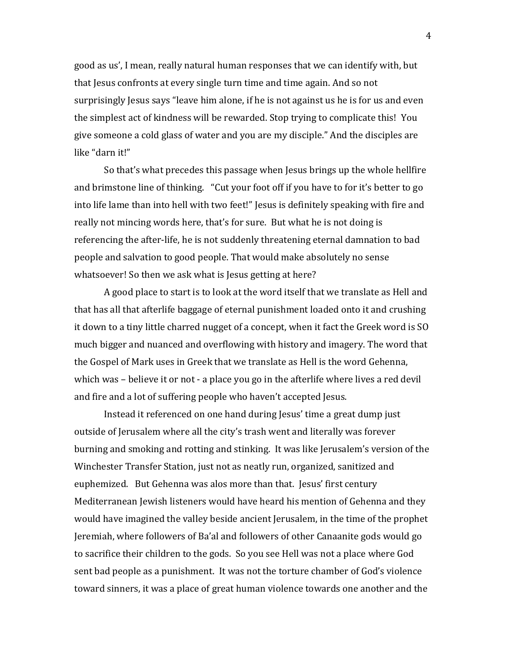good as us', I mean, really natural human responses that we can identify with, but that Jesus confronts at every single turn time and time again. And so not surprisingly Jesus says "leave him alone, if he is not against us he is for us and even the simplest act of kindness will be rewarded. Stop trying to complicate this! You give someone a cold glass of water and you are my disciple." And the disciples are like "darn it!"

So that's what precedes this passage when Jesus brings up the whole hellfire and brimstone line of thinking. "Cut your foot off if you have to for it's better to go into life lame than into hell with two feet!" Jesus is definitely speaking with fire and really not mincing words here, that's for sure. But what he is not doing is referencing the after-life, he is not suddenly threatening eternal damnation to bad people and salvation to good people. That would make absolutely no sense whatsoever! So then we ask what is Jesus getting at here?

A good place to start is to look at the word itself that we translate as Hell and that has all that afterlife baggage of eternal punishment loaded onto it and crushing it down to a tiny little charred nugget of a concept, when it fact the Greek word is SO much bigger and nuanced and overflowing with history and imagery. The word that the Gospel of Mark uses in Greek that we translate as Hell is the word Gehenna, which was – believe it or not - a place you go in the afterlife where lives a red devil and fire and a lot of suffering people who haven't accepted Jesus.

Instead it referenced on one hand during Jesus' time a great dump just outside of Jerusalem where all the city's trash went and literally was forever burning and smoking and rotting and stinking. It was like Jerusalem's version of the Winchester Transfer Station, just not as neatly run, organized, sanitized and euphemized. But Gehenna was alos more than that. Jesus' first century Mediterranean Jewish listeners would have heard his mention of Gehenna and they would have imagined the valley beside ancient Jerusalem, in the time of the prophet Jeremiah, where followers of Ba'al and followers of other Canaanite gods would go to sacrifice their children to the gods. So you see Hell was not a place where God sent bad people as a punishment. It was not the torture chamber of God's violence toward sinners, it was a place of great human violence towards one another and the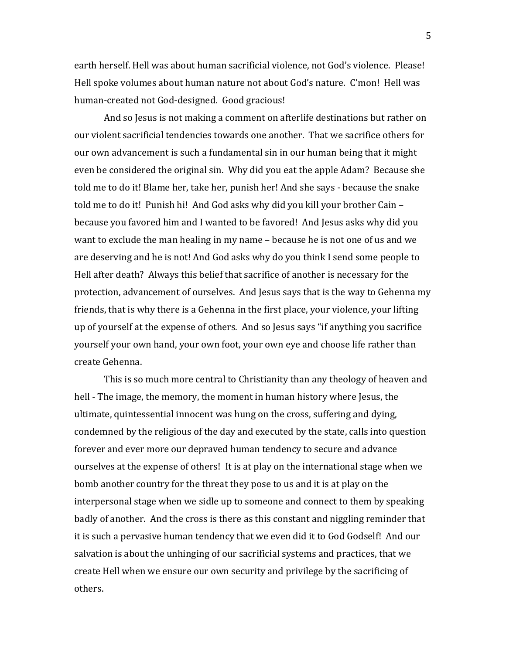earth herself. Hell was about human sacrificial violence, not God's violence. Please! Hell spoke volumes about human nature not about God's nature. C'mon! Hell was human-created not God-designed. Good gracious!

And so Jesus is not making a comment on afterlife destinations but rather on our violent sacrificial tendencies towards one another. That we sacrifice others for our own advancement is such a fundamental sin in our human being that it might even be considered the original sin. Why did you eat the apple Adam? Because she told me to do it! Blame her, take her, punish her! And she says - because the snake told me to do it! Punish hi! And God asks why did you kill your brother Cain – because you favored him and I wanted to be favored! And Jesus asks why did you want to exclude the man healing in my name – because he is not one of us and we are deserving and he is not! And God asks why do you think I send some people to Hell after death? Always this belief that sacrifice of another is necessary for the protection, advancement of ourselves. And Jesus says that is the way to Gehenna my friends, that is why there is a Gehenna in the first place, your violence, your lifting up of yourself at the expense of others. And so Jesus says "if anything you sacrifice yourself your own hand, your own foot, your own eye and choose life rather than create Gehenna.

This is so much more central to Christianity than any theology of heaven and hell - The image, the memory, the moment in human history where Jesus, the ultimate, quintessential innocent was hung on the cross, suffering and dying, condemned by the religious of the day and executed by the state, calls into question forever and ever more our depraved human tendency to secure and advance ourselves at the expense of others! It is at play on the international stage when we bomb another country for the threat they pose to us and it is at play on the interpersonal stage when we sidle up to someone and connect to them by speaking badly of another. And the cross is there as this constant and niggling reminder that it is such a pervasive human tendency that we even did it to God Godself! And our salvation is about the unhinging of our sacrificial systems and practices, that we create Hell when we ensure our own security and privilege by the sacrificing of others.